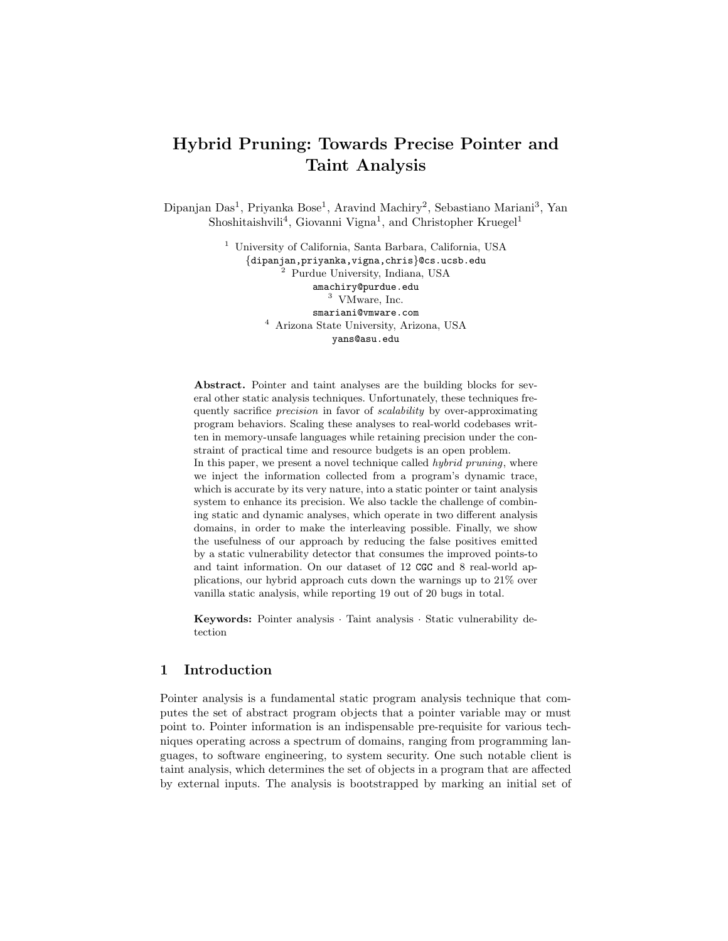# Hybrid Pruning: Towards Precise Pointer and Taint Analysis

Dipanjan Das<sup>1</sup>, Priyanka Bose<sup>1</sup>, Aravind Machiry<sup>2</sup>, Sebastiano Mariani<sup>3</sup>, Yan Shoshitaishvili<sup>4</sup>, Giovanni Vigna<sup>1</sup>, and Christopher Kruegel<sup>1</sup>

> <sup>1</sup> University of California, Santa Barbara, California, USA {dipanjan,priyanka,vigna,chris}@cs.ucsb.edu <sup>2</sup> Purdue University, Indiana, USA amachiry@purdue.edu <sup>3</sup> VMware, Inc. smariani@vmware.com <sup>4</sup> Arizona State University, Arizona, USA yans@asu.edu

Abstract. Pointer and taint analyses are the building blocks for several other static analysis techniques. Unfortunately, these techniques frequently sacrifice precision in favor of scalability by over-approximating program behaviors. Scaling these analyses to real-world codebases written in memory-unsafe languages while retaining precision under the constraint of practical time and resource budgets is an open problem. In this paper, we present a novel technique called *hybrid pruning*, where we inject the information collected from a program's dynamic trace, which is accurate by its very nature, into a static pointer or taint analysis system to enhance its precision. We also tackle the challenge of combining static and dynamic analyses, which operate in two different analysis domains, in order to make the interleaving possible. Finally, we show the usefulness of our approach by reducing the false positives emitted by a static vulnerability detector that consumes the improved points-to and taint information. On our dataset of 12 CGC and 8 real-world applications, our hybrid approach cuts down the warnings up to 21% over vanilla static analysis, while reporting 19 out of 20 bugs in total.

Keywords: Pointer analysis · Taint analysis · Static vulnerability detection

# 1 Introduction

Pointer analysis is a fundamental static program analysis technique that computes the set of abstract program objects that a pointer variable may or must point to. Pointer information is an indispensable pre-requisite for various techniques operating across a spectrum of domains, ranging from programming languages, to software engineering, to system security. One such notable client is taint analysis, which determines the set of objects in a program that are affected by external inputs. The analysis is bootstrapped by marking an initial set of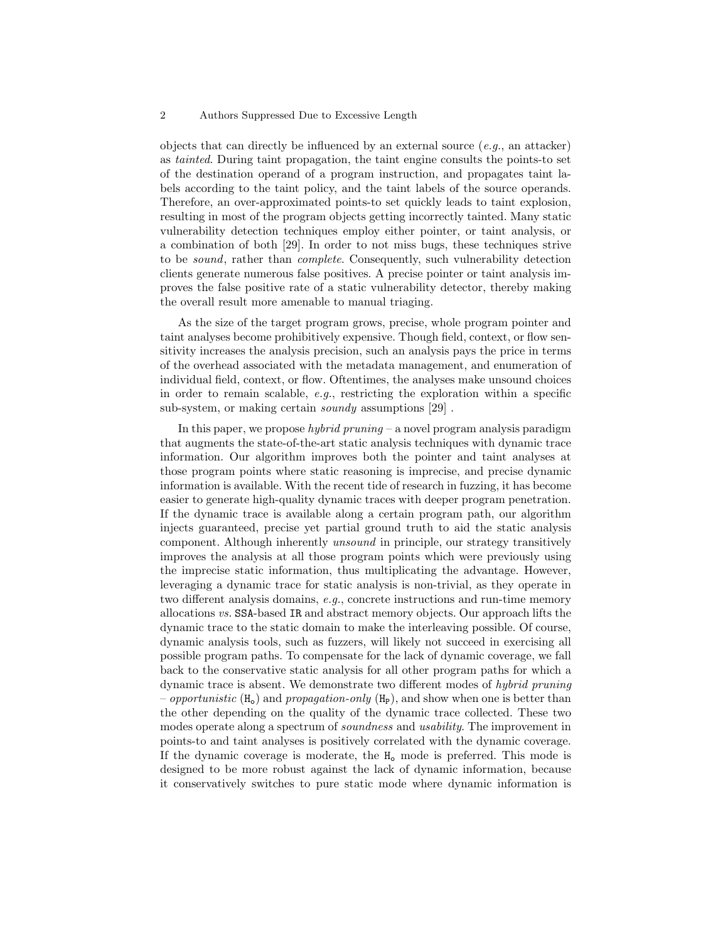objects that can directly be influenced by an external source  $(e.g.,\text{ an attacker})$ as tainted. During taint propagation, the taint engine consults the points-to set of the destination operand of a program instruction, and propagates taint labels according to the taint policy, and the taint labels of the source operands. Therefore, an over-approximated points-to set quickly leads to taint explosion, resulting in most of the program objects getting incorrectly tainted. Many static vulnerability detection techniques employ either pointer, or taint analysis, or a combination of both [29]. In order to not miss bugs, these techniques strive to be sound, rather than complete. Consequently, such vulnerability detection clients generate numerous false positives. A precise pointer or taint analysis improves the false positive rate of a static vulnerability detector, thereby making the overall result more amenable to manual triaging.

As the size of the target program grows, precise, whole program pointer and taint analyses become prohibitively expensive. Though field, context, or flow sensitivity increases the analysis precision, such an analysis pays the price in terms of the overhead associated with the metadata management, and enumeration of individual field, context, or flow. Oftentimes, the analyses make unsound choices in order to remain scalable,  $e.g.,$  restricting the exploration within a specific sub-system, or making certain *soundy* assumptions [29].

In this paper, we propose *hybrid pruning* – a novel program analysis paradigm that augments the state-of-the-art static analysis techniques with dynamic trace information. Our algorithm improves both the pointer and taint analyses at those program points where static reasoning is imprecise, and precise dynamic information is available. With the recent tide of research in fuzzing, it has become easier to generate high-quality dynamic traces with deeper program penetration. If the dynamic trace is available along a certain program path, our algorithm injects guaranteed, precise yet partial ground truth to aid the static analysis component. Although inherently unsound in principle, our strategy transitively improves the analysis at all those program points which were previously using the imprecise static information, thus multiplicating the advantage. However, leveraging a dynamic trace for static analysis is non-trivial, as they operate in two different analysis domains, e.g., concrete instructions and run-time memory allocations vs. SSA-based IR and abstract memory objects. Our approach lifts the dynamic trace to the static domain to make the interleaving possible. Of course, dynamic analysis tools, such as fuzzers, will likely not succeed in exercising all possible program paths. To compensate for the lack of dynamic coverage, we fall back to the conservative static analysis for all other program paths for which a dynamic trace is absent. We demonstrate two different modes of hybrid pruning – opportunistic  $(H_0)$  and propagation-only  $(H_P)$ , and show when one is better than the other depending on the quality of the dynamic trace collected. These two modes operate along a spectrum of soundness and usability. The improvement in points-to and taint analyses is positively correlated with the dynamic coverage. If the dynamic coverage is moderate, the  $H_0$  mode is preferred. This mode is designed to be more robust against the lack of dynamic information, because it conservatively switches to pure static mode where dynamic information is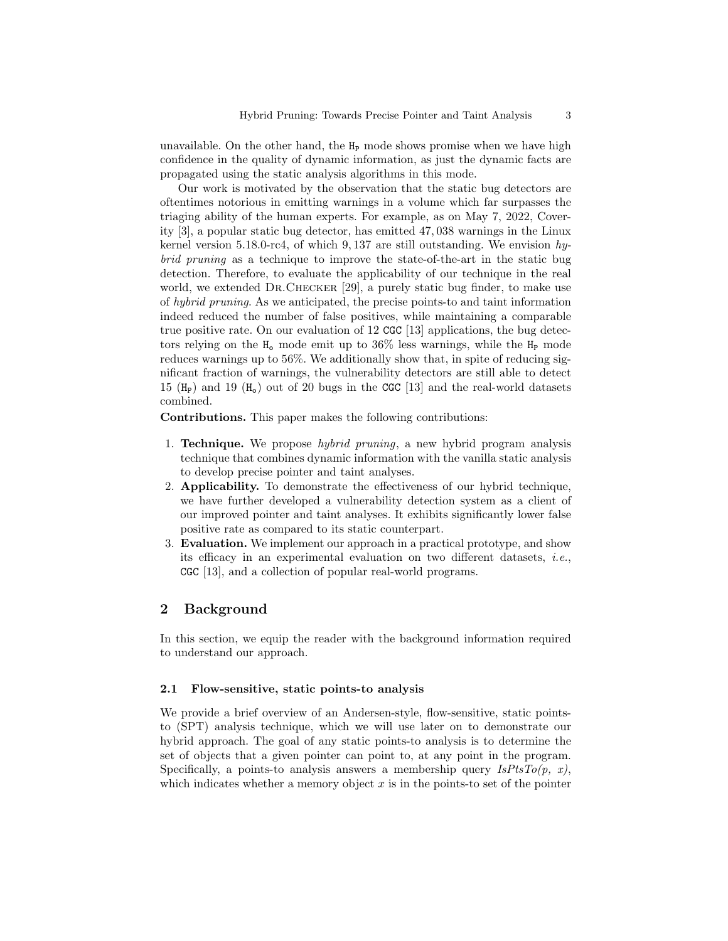unavailable. On the other hand, the  $H_P$  mode shows promise when we have high confidence in the quality of dynamic information, as just the dynamic facts are propagated using the static analysis algorithms in this mode.

Our work is motivated by the observation that the static bug detectors are oftentimes notorious in emitting warnings in a volume which far surpasses the triaging ability of the human experts. For example, as on May 7, 2022, Coverity [3], a popular static bug detector, has emitted 47, 038 warnings in the Linux kernel version 5.18.0-rc4, of which 9, 137 are still outstanding. We envision  $hy$ brid pruning as a technique to improve the state-of-the-art in the static bug detection. Therefore, to evaluate the applicability of our technique in the real world, we extended DR.CHECKER [29], a purely static bug finder, to make use of hybrid pruning. As we anticipated, the precise points-to and taint information indeed reduced the number of false positives, while maintaining a comparable true positive rate. On our evaluation of 12 CGC [13] applications, the bug detectors relying on the  $H_0$  mode emit up to 36% less warnings, while the  $H_P$  mode reduces warnings up to 56%. We additionally show that, in spite of reducing significant fraction of warnings, the vulnerability detectors are still able to detect 15 ( $H_P$ ) and 19 ( $H_o$ ) out of 20 bugs in the CGC [13] and the real-world datasets combined.

Contributions. This paper makes the following contributions:

- 1. Technique. We propose hybrid pruning, a new hybrid program analysis technique that combines dynamic information with the vanilla static analysis to develop precise pointer and taint analyses.
- 2. Applicability. To demonstrate the effectiveness of our hybrid technique, we have further developed a vulnerability detection system as a client of our improved pointer and taint analyses. It exhibits significantly lower false positive rate as compared to its static counterpart.
- 3. Evaluation. We implement our approach in a practical prototype, and show its efficacy in an experimental evaluation on two different datasets, *i.e.*, CGC [13], and a collection of popular real-world programs.

# 2 Background

In this section, we equip the reader with the background information required to understand our approach.

#### 2.1 Flow-sensitive, static points-to analysis

We provide a brief overview of an Andersen-style, flow-sensitive, static pointsto (SPT) analysis technique, which we will use later on to demonstrate our hybrid approach. The goal of any static points-to analysis is to determine the set of objects that a given pointer can point to, at any point in the program. Specifically, a points-to analysis answers a membership query  $IsPtsTo(p, x)$ , which indicates whether a memory object  $x$  is in the points-to set of the pointer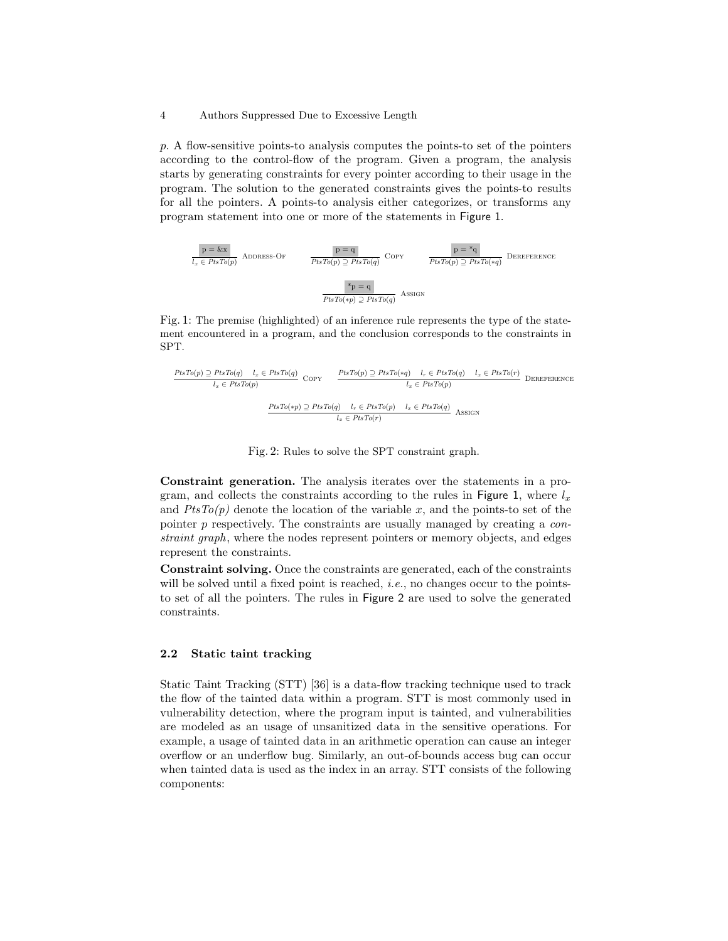p. A flow-sensitive points-to analysis computes the points-to set of the pointers according to the control-flow of the program. Given a program, the analysis starts by generating constraints for every pointer according to their usage in the program. The solution to the generated constraints gives the points-to results for all the pointers. A points-to analysis either categorizes, or transforms any program statement into one or more of the statements in Figure 1.



Fig. 1: The premise (highlighted) of an inference rule represents the type of the statement encountered in a program, and the conclusion corresponds to the constraints in SPT.

$$
\frac{PtsTo(p) \supseteq PtsTo(q) \quad l_x \in PtsTo(q)}{l_x \in PtsTo(p)} \quad \text{Copy} \quad \frac{PtsTo(p) \supseteq PtsTo(q) \quad l_r \in PtsTo(q) \quad l_x \in PtsTo(r)}{l_x \in PtsTo(p)} \quad \text{DEREFERENCE}
$$
\n
$$
\frac{PtsTo(p) \supseteq PtsTo(q) \quad l_r \in PtsTo(p) \quad l_x \in PtsTo(p)}{l_x \in PtsTo(p)} \quad \text{ASSIGN}
$$

Fig. 2: Rules to solve the SPT constraint graph.

Constraint generation. The analysis iterates over the statements in a program, and collects the constraints according to the rules in Figure 1, where  $l_x$ and  $PtsTo(p)$  denote the location of the variable x, and the points-to set of the pointer p respectively. The constraints are usually managed by creating a constraint graph, where the nodes represent pointers or memory objects, and edges represent the constraints.

Constraint solving. Once the constraints are generated, each of the constraints will be solved until a fixed point is reached, *i.e.*, no changes occur to the pointsto set of all the pointers. The rules in Figure 2 are used to solve the generated constraints.

### 2.2 Static taint tracking

Static Taint Tracking (STT) [36] is a data-flow tracking technique used to track the flow of the tainted data within a program. STT is most commonly used in vulnerability detection, where the program input is tainted, and vulnerabilities are modeled as an usage of unsanitized data in the sensitive operations. For example, a usage of tainted data in an arithmetic operation can cause an integer overflow or an underflow bug. Similarly, an out-of-bounds access bug can occur when tainted data is used as the index in an array. STT consists of the following components: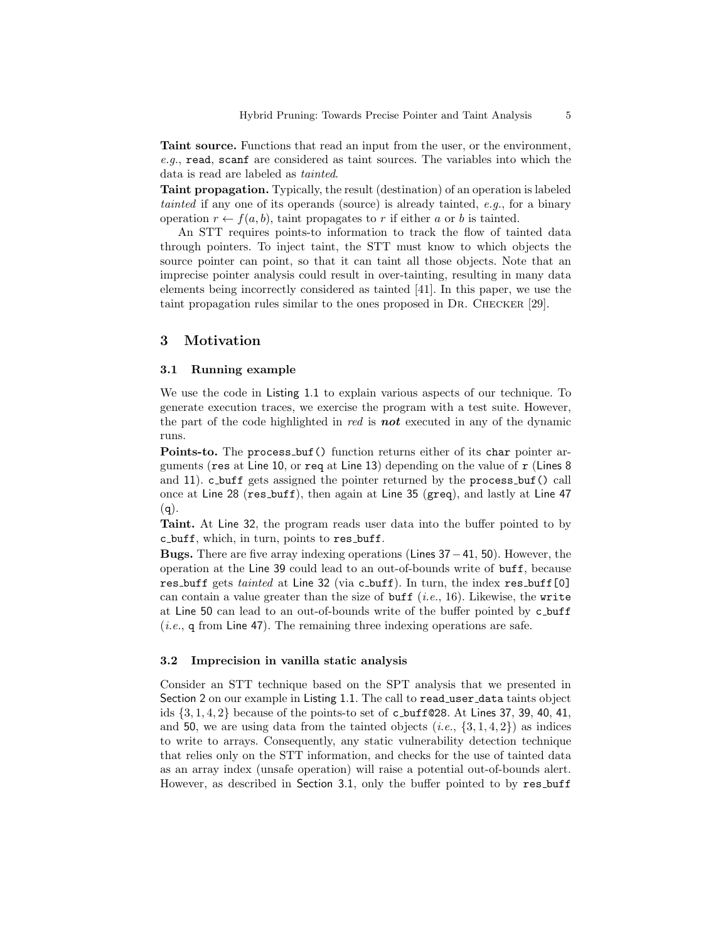Taint source. Functions that read an input from the user, or the environment, e.g., read, scanf are considered as taint sources. The variables into which the data is read are labeled as tainted.

Taint propagation. Typically, the result (destination) of an operation is labeled tainted if any one of its operands (source) is already tainted, e.g., for a binary operation  $r \leftarrow f(a, b)$ , taint propagates to r if either a or b is tainted.

An STT requires points-to information to track the flow of tainted data through pointers. To inject taint, the STT must know to which objects the source pointer can point, so that it can taint all those objects. Note that an imprecise pointer analysis could result in over-tainting, resulting in many data elements being incorrectly considered as tainted [41]. In this paper, we use the taint propagation rules similar to the ones proposed in Dr. Checker [29].

# 3 Motivation

#### 3.1 Running example

We use the code in Listing 1.1 to explain various aspects of our technique. To generate execution traces, we exercise the program with a test suite. However, the part of the code highlighted in  $red$  is **not** executed in any of the dynamic runs.

Points-to. The process buf() function returns either of its char pointer arguments (res at Line 10, or req at Line 13) depending on the value of  $r$  (Lines 8) and 11). c buff gets assigned the pointer returned by the process buf() call once at Line 28 (res buff), then again at Line 35 (greq), and lastly at Line 47  $(q).$ 

Taint. At Line 32, the program reads user data into the buffer pointed to by c buff, which, in turn, points to res buff.

**Bugs.** There are five array indexing operations (Lines  $37-41$ , 50). However, the operation at the Line 39 could lead to an out-of-bounds write of buff, because res buff gets tainted at Line 32 (via c buff). In turn, the index res buff [0] can contain a value greater than the size of buff  $(i.e., 16)$ . Likewise, the write at Line 50 can lead to an out-of-bounds write of the buffer pointed by c buff (*i.e.*,  $q$  from Line 47). The remaining three indexing operations are safe.

#### 3.2 Imprecision in vanilla static analysis

Consider an STT technique based on the SPT analysis that we presented in Section 2 on our example in Listing 1.1. The call to read\_user\_data taints object ids  $\{3, 1, 4, 2\}$  because of the points-to set of c\_buff@28. At Lines 37, 39, 40, 41, and 50, we are using data from the tainted objects  $(i.e., \{3, 1, 4, 2\})$  as indices to write to arrays. Consequently, any static vulnerability detection technique that relies only on the STT information, and checks for the use of tainted data as an array index (unsafe operation) will raise a potential out-of-bounds alert. However, as described in Section 3.1, only the buffer pointed to by res buff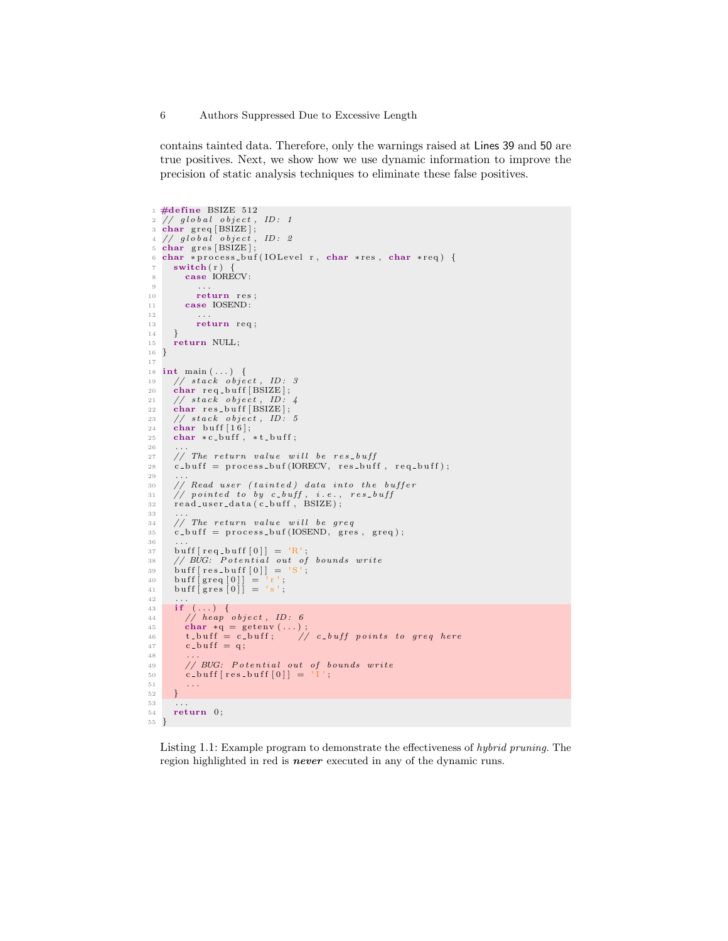contains tainted data. Therefore, only the warnings raised at Lines 39 and 50 are true positives. Next, we show how we use dynamic information to improve the precision of static analysis techniques to eliminate these false positives.

```
1 \text{ #define} BSIZE 512
  _2 // global object, ID: 1<br>3 char greq[BSIZE];
  _4 // global object, ID: 2<br>5 _{\rm char} gres[BSIZE];
 6 char *process_buf(IOLevel r, char *res, char *req) {
        switch(r) {
            case IORECV:
  9 \qquad \qquad \bullet \qquad \bullet \bullet10 return res;
11 case IOSEND:
12
13 return req;
14 }
15 return NULL;
16 }
17
\begin{array}{cc} \text{18} \ \text{int} \ \text{main} \ (\ldots) \ \ \{ \end{array}<br>
19 // stack object, ID: 3
20 char req_buff [BSIZE];
\begin{array}{lll} 21 & // stack object, ID: 4 \ 22 & char res_buff[BSIZE]; \end{array}\begin{array}{cc} 23 & // stack object, ID: 5 \ 24 & char buffer[16]; \end{array}25 char *c\_buffer, *t\_buffer;
26
27 // The return value will be res-buff
28 c buff = process buf (IORECV, res buff, req buff);
29\begin{array}{c|cc}\n 30 & // Read user (tainted) data into the buffer \\
 31 & // pointed to by c_buff, i.e., res_buff\n\end{array}31 // pointed to by c_buff, i.e., res\_buff<br>32 read_user_data(c_buff, BSIZE);
3\sqrt{3}\frac{34}{35} // The return value will be greq<br>35 c_buff = process_buf(IOSEND, gres, greq);
36
37 buff [req\_bufferf[0]] = 'R';<br>38 // BUG: Potential out of bounds write
39 buff [res_buff [0]] = 'S';<br>
40 buff [greq [0]] = 'r';<br>
41 buff [gres [0]] = 's';
\begin{array}{c} 42 \\ 43 \end{array}if (\ldots) {
\frac{44}{7} heap object, ID: 6
45 char ∗q = g e t env ( . . . ) ;
46 t b u f f = c b u f f ; // c b u f f p o i n t s t o g r e q he r e
47 c b u f f = q ;
48<br>49// BUG: Potential out of bounds write
50 c_{-} buff [res_buff [0]] = ^{1}I ';<br>51 ...
        \overline{\ }52\,53
54 return 0;
55 }
```
Listing 1.1: Example program to demonstrate the effectiveness of hybrid pruning. The region highlighted in red is **never** executed in any of the dynamic runs.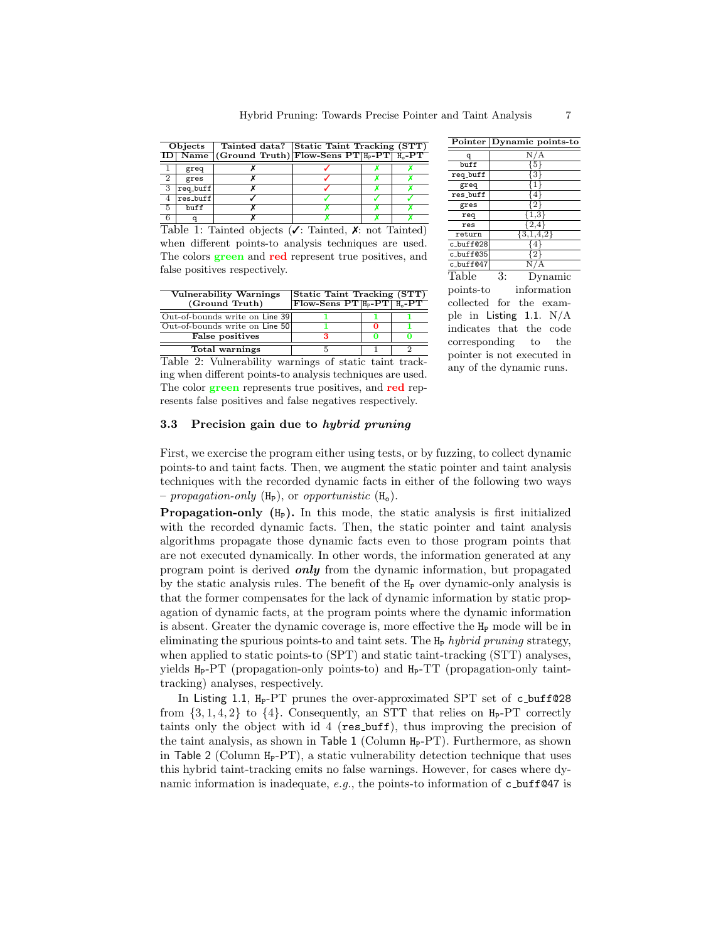| Objects        |          |  | Tainted data? Static Taint Tracking (STT)           |  |  |  |
|----------------|----------|--|-----------------------------------------------------|--|--|--|
|                |          |  | ID Name (Ground Truth) Flow-Sens $PT H_P-PT H_Q-PT$ |  |  |  |
|                | greq     |  |                                                     |  |  |  |
| $\overline{2}$ | gres     |  |                                                     |  |  |  |
| 3              | req_buff |  |                                                     |  |  |  |
|                | res_buff |  |                                                     |  |  |  |
| -5             | buff     |  |                                                     |  |  |  |
|                |          |  |                                                     |  |  |  |

Table 1: Tainted objects ( $\checkmark$ : Tainted,  $\checkmark$ : not Tainted) when different points-to analysis techniques are used. The colors **green** and **red** represent true positives, and false positives respectively.

| <b>Vulnerability Warnings</b>  | Static Taint Tracking (STT)                                         |  |  |  |
|--------------------------------|---------------------------------------------------------------------|--|--|--|
| (Ground Truth)                 | $\text{Flow-Sens PT}$ $\text{H}_P\text{-PT}$ $\text{H}_q\text{-PT}$ |  |  |  |
| Out-of-bounds write on Line 39 |                                                                     |  |  |  |
| Out-of-bounds write on Line 50 |                                                                     |  |  |  |
| <b>False positives</b>         |                                                                     |  |  |  |
| Total warnings                 |                                                                     |  |  |  |

Table 2: Vulnerability warnings of static taint tracking when different points-to analysis techniques are used. The color **green** represents true positives, and **red** represents false positives and false negatives respectively.

| Pointer                    | Dynamic points-to         |  |  |  |  |  |
|----------------------------|---------------------------|--|--|--|--|--|
| q                          | N/A                       |  |  |  |  |  |
| buff                       | {5}                       |  |  |  |  |  |
| req_buff                   | {3}                       |  |  |  |  |  |
| greq                       | 1                         |  |  |  |  |  |
| res_buff                   | {4}                       |  |  |  |  |  |
| gres                       | [2]                       |  |  |  |  |  |
| req                        | $\overline{1,3}$          |  |  |  |  |  |
| res                        | ${2,4}$                   |  |  |  |  |  |
| return                     | ${3,1,4,2}$               |  |  |  |  |  |
| c_buff@28                  | $\overline{\{4\}}$        |  |  |  |  |  |
| c_buff@35                  | {2}                       |  |  |  |  |  |
| c_buff@47                  | N/A                       |  |  |  |  |  |
| Table                      | 3:<br>Dynamic             |  |  |  |  |  |
| points-to                  | information               |  |  |  |  |  |
| collected for the exam-    |                           |  |  |  |  |  |
|                            | ple in Listing 1.1. $N/A$ |  |  |  |  |  |
|                            | indicates that the code   |  |  |  |  |  |
| corresponding to the       |                           |  |  |  |  |  |
| pointer is not executed in |                           |  |  |  |  |  |
| any of the dynamic runs.   |                           |  |  |  |  |  |

#### 3.3 Precision gain due to hybrid pruning

First, we exercise the program either using tests, or by fuzzing, to collect dynamic points-to and taint facts. Then, we augment the static pointer and taint analysis techniques with the recorded dynamic facts in either of the following two ways – propagation-only  $(H_P)$ , or opportunistic  $(H_o)$ .

**Propagation-only**  $(H_P)$ . In this mode, the static analysis is first initialized with the recorded dynamic facts. Then, the static pointer and taint analysis algorithms propagate those dynamic facts even to those program points that are not executed dynamically. In other words, the information generated at any program point is derived only from the dynamic information, but propagated by the static analysis rules. The benefit of the  $H<sub>P</sub>$  over dynamic-only analysis is that the former compensates for the lack of dynamic information by static propagation of dynamic facts, at the program points where the dynamic information is absent. Greater the dynamic coverage is, more effective the  $H<sub>P</sub>$  mode will be in eliminating the spurious points-to and taint sets. The  $H_P$  hybrid pruning strategy, when applied to static points-to (SPT) and static taint-tracking (STT) analyses, yields  $H_P-PT$  (propagation-only points-to) and  $H_P-TT$  (propagation-only tainttracking) analyses, respectively.

In Listing 1.1, H<sub>P</sub>-PT prunes the over-approximated SPT set of c\_buff@28 from  $\{3, 1, 4, 2\}$  to  $\{4\}$ . Consequently, an STT that relies on  $H_P-PT$  correctly taints only the object with id 4 (res buff), thus improving the precision of the taint analysis, as shown in Table 1 (Column  $H_P-PT$ ). Furthermore, as shown in Table 2 (Column  $H_P-PT$ ), a static vulnerability detection technique that uses this hybrid taint-tracking emits no false warnings. However, for cases where dynamic information is inadequate,  $e.g.,$  the points-to information of c buff@47 is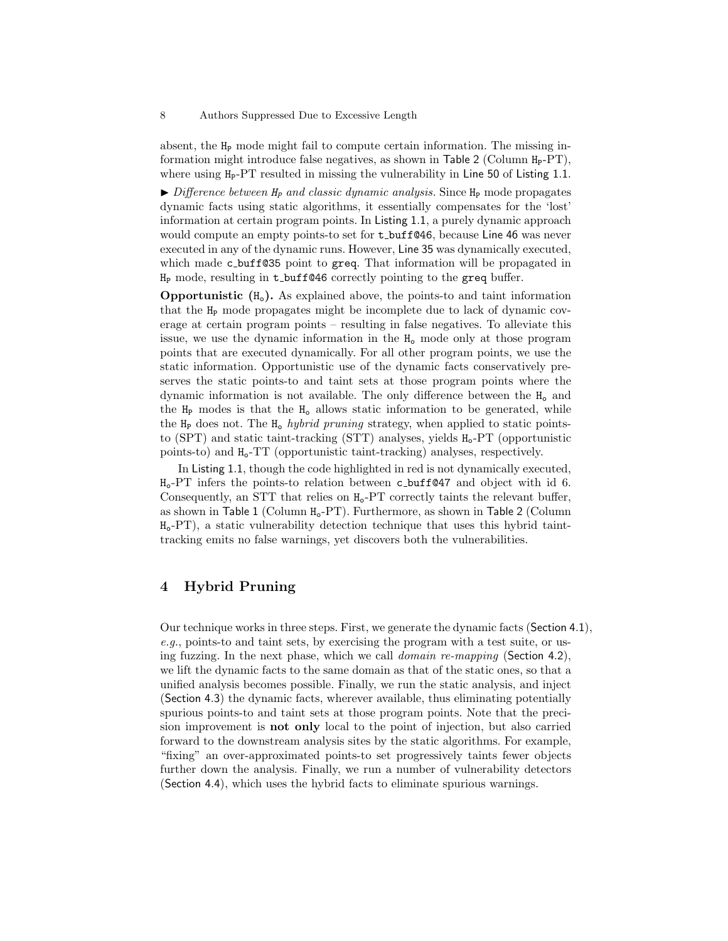absent, the  $H_P$  mode might fail to compute certain information. The missing information might introduce false negatives, as shown in Table 2 (Column  $H_P-PT$ ), where using H<sub>P</sub>-PT resulted in missing the vulnerability in Line 50 of Listing 1.1.

 $\triangleright$  Difference between  $H_P$  and classic dynamic analysis. Since  $H_P$  mode propagates dynamic facts using static algorithms, it essentially compensates for the 'lost' information at certain program points. In Listing 1.1, a purely dynamic approach would compute an empty points-to set for  $t$ -buff@46, because Line 46 was never executed in any of the dynamic runs. However, Line 35 was dynamically executed, which made c buff@35 point to greq. That information will be propagated in  $H_P$  mode, resulting in t\_buff@46 correctly pointing to the greq buffer.

**Opportunistic**  $(H_0)$ . As explained above, the points-to and taint information that the H<sup>P</sup> mode propagates might be incomplete due to lack of dynamic coverage at certain program points – resulting in false negatives. To alleviate this issue, we use the dynamic information in the  $H_0$  mode only at those program points that are executed dynamically. For all other program points, we use the static information. Opportunistic use of the dynamic facts conservatively preserves the static points-to and taint sets at those program points where the dynamic information is not available. The only difference between the  $H_0$  and the  $H_P$  modes is that the  $H_0$  allows static information to be generated, while the  $H_P$  does not. The  $H_o$  hybrid pruning strategy, when applied to static pointsto  $(SPT)$  and static taint-tracking  $(STT)$  analyses, yields  $H_0$ -PT (opportunistic points-to) and Ho-TT (opportunistic taint-tracking) analyses, respectively.

In Listing 1.1, though the code highlighted in red is not dynamically executed,  $H_0$ -PT infers the points-to relation between c buff@47 and object with id 6. Consequently, an STT that relies on  $H_0$ -PT correctly taints the relevant buffer, as shown in Table 1 (Column  $H_0$ -PT). Furthermore, as shown in Table 2 (Column  $H_0$ -PT), a static vulnerability detection technique that uses this hybrid tainttracking emits no false warnings, yet discovers both the vulnerabilities.

# 4 Hybrid Pruning

Our technique works in three steps. First, we generate the dynamic facts (Section 4.1), e.g., points-to and taint sets, by exercising the program with a test suite, or using fuzzing. In the next phase, which we call *domain re-mapping* (Section 4.2), we lift the dynamic facts to the same domain as that of the static ones, so that a unified analysis becomes possible. Finally, we run the static analysis, and inject (Section 4.3) the dynamic facts, wherever available, thus eliminating potentially spurious points-to and taint sets at those program points. Note that the precision improvement is not only local to the point of injection, but also carried forward to the downstream analysis sites by the static algorithms. For example, "fixing" an over-approximated points-to set progressively taints fewer objects further down the analysis. Finally, we run a number of vulnerability detectors (Section 4.4), which uses the hybrid facts to eliminate spurious warnings.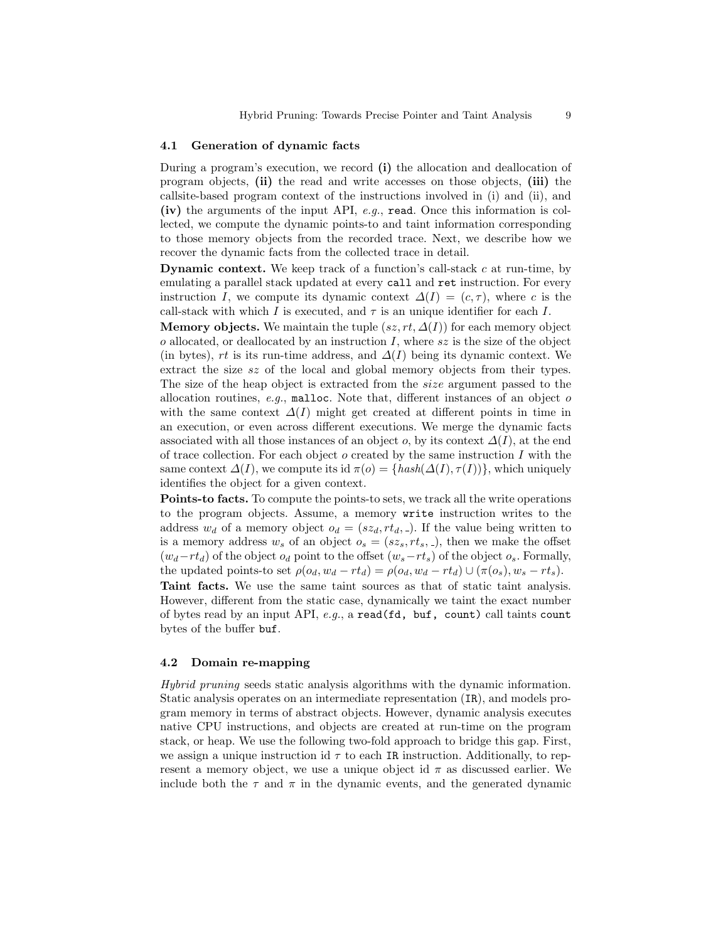#### 4.1 Generation of dynamic facts

During a program's execution, we record (i) the allocation and deallocation of program objects, (ii) the read and write accesses on those objects, (iii) the callsite-based program context of the instructions involved in (i) and (ii), and (iv) the arguments of the input API,  $e.g.,$  read. Once this information is collected, we compute the dynamic points-to and taint information corresponding to those memory objects from the recorded trace. Next, we describe how we recover the dynamic facts from the collected trace in detail.

**Dynamic context.** We keep track of a function's call-stack  $c$  at run-time, by emulating a parallel stack updated at every call and ret instruction. For every instruction I, we compute its dynamic context  $\Delta(I) = (c, \tau)$ , where c is the call-stack with which I is executed, and  $\tau$  is an unique identifier for each I.

**Memory objects.** We maintain the tuple  $(sz, rt, \Delta(I))$  for each memory object  $o$  allocated, or deallocated by an instruction I, where  $sz$  is the size of the object (in bytes), rt is its run-time address, and  $\Delta(I)$  being its dynamic context. We extract the size sz of the local and global memory objects from their types. The size of the heap object is extracted from the size argument passed to the allocation routines,  $e.g.,$  malloc. Note that, different instances of an object  $o$ with the same context  $\Delta(I)$  might get created at different points in time in an execution, or even across different executions. We merge the dynamic facts associated with all those instances of an object o, by its context  $\Delta(I)$ , at the end of trace collection. For each object  $o$  created by the same instruction  $I$  with the same context  $\Delta(I)$ , we compute its id  $\pi(o) = \{hash(\Delta(I), \tau(I))\}$ , which uniquely identifies the object for a given context.

Points-to facts. To compute the points-to sets, we track all the write operations to the program objects. Assume, a memory write instruction writes to the address  $w_d$  of a memory object  $o_d = (sz_d, rt_d, ...)$ . If the value being written to is a memory address  $w_s$  of an object  $o_s = (sz_s, rt_s, ...)$ , then we make the offset  $(w_d-r_t)_0$  of the object  $o_d$  point to the offset  $(w_s-r_s)$  of the object  $o_s$ . Formally, the updated points-to set  $\rho(o_d, w_d - rt_d) = \rho(o_d, w_d - rt_d) \cup (\pi(o_s), w_s - rt_s).$ 

Taint facts. We use the same taint sources as that of static taint analysis. However, different from the static case, dynamically we taint the exact number of bytes read by an input API, e.g., a read(fd, buf, count) call taints count bytes of the buffer buf.

#### 4.2 Domain re-mapping

Hybrid pruning seeds static analysis algorithms with the dynamic information. Static analysis operates on an intermediate representation (IR), and models program memory in terms of abstract objects. However, dynamic analysis executes native CPU instructions, and objects are created at run-time on the program stack, or heap. We use the following two-fold approach to bridge this gap. First, we assign a unique instruction id  $\tau$  to each IR instruction. Additionally, to represent a memory object, we use a unique object id  $\pi$  as discussed earlier. We include both the  $\tau$  and  $\pi$  in the dynamic events, and the generated dynamic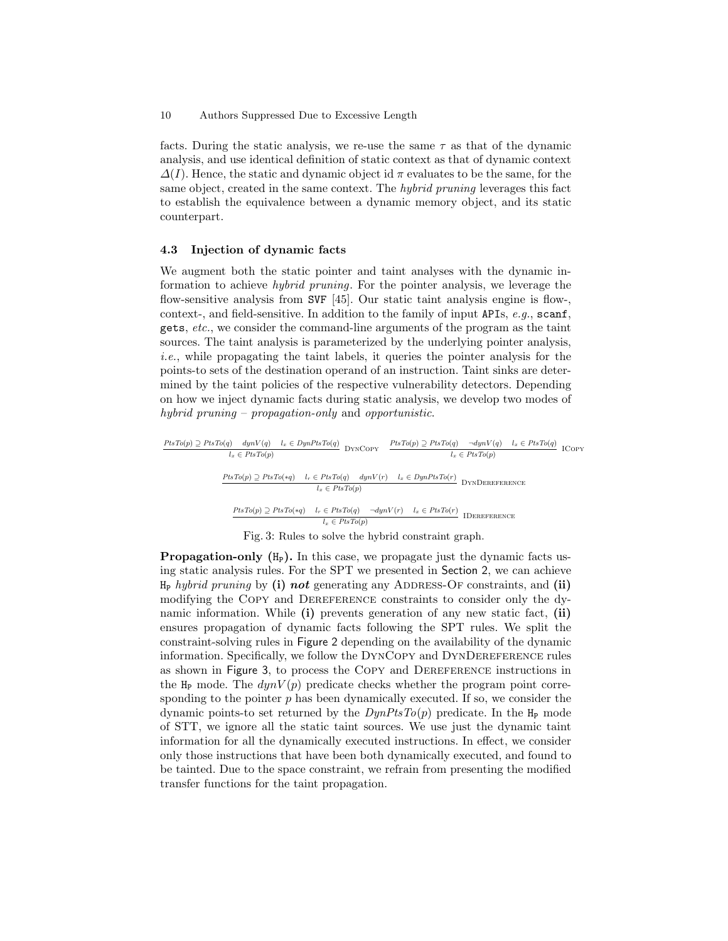facts. During the static analysis, we re-use the same  $\tau$  as that of the dynamic analysis, and use identical definition of static context as that of dynamic context  $\Delta(I)$ . Hence, the static and dynamic object id  $\pi$  evaluates to be the same, for the same object, created in the same context. The hybrid pruning leverages this fact to establish the equivalence between a dynamic memory object, and its static counterpart.

#### 4.3 Injection of dynamic facts

We augment both the static pointer and taint analyses with the dynamic information to achieve hybrid pruning. For the pointer analysis, we leverage the flow-sensitive analysis from SVF [45]. Our static taint analysis engine is flow-, context-, and field-sensitive. In addition to the family of input APIs, e.g., scanf, gets, etc., we consider the command-line arguments of the program as the taint sources. The taint analysis is parameterized by the underlying pointer analysis, i.e., while propagating the taint labels, it queries the pointer analysis for the points-to sets of the destination operand of an instruction. Taint sinks are determined by the taint policies of the respective vulnerability detectors. Depending on how we inject dynamic facts during static analysis, we develop two modes of hybrid pruning – propagation-only and opportunistic.

$$
\begin{array}{llll}\n \hline \text{PtsTo}(p) \supseteq \text{PtsTo}(q) & \text{dyn}V(q) & l_x \in \text{DynPtsTo}(q) \\
 \hline \text{I}_x \in \text{PtsTo}(p) & \text{DYNCopy} & \text{PtsTo}(p) \supseteq \text{PtsTo}(q) & \neg \text{dyn}V(q) & l_x \in \text{PtsTo}(q) \\
 \hline \text{PtsTo}(p) \supseteq \text{PtsTo}(p) & \text{I}_r \in \text{PtsTo}(q) & \text{dyn}V(r) & l_x \in \text{DynPtsTo}(r) \\
 \hline \text{PtsTo}(p) \supseteq \text{PtsTo}(sq) & \text{I}_r \in \text{PtsTo}(p) & \text{JymV}(r) & l_x \in \text{PynPtsTo}(r) \\
 \hline \text{PtsTo}(p) \supseteq \text{PtsTo}(sq) & \text{I}_r \in \text{PtsTo}(q) & \neg \text{dyn}V(r) & \text{I}_x \in \text{PtsTo}(r) \\
 \hline \text{I} \subseteq \text{PtsTo}(p) & \text{I}_x \in \text{PtsTo}(p) & \text{I}_x \in \text{PtsTo}(r) & \text{I}_x \in \text{PtsTo}(r) \\
 \hline \text{I}_x \in \text{PtsTo}(p) & \text{I}_x \in \text{PtsTo}(p) & \text{I}_x \in \text{PtsTo}(r) & \text{I}_x \in \text{PtsTo}(r) \\
 \hline \text{I}_x \in \text{PtsTo}(p) & \text{I}_x \in \text{PtsTo}(p) & \text{I}_x \in \text{PtsTo}(r) & \text{I}_x \in \text{PtsTo}(r) & \text{I}_x \in \text{PtsTo}(r) \\
 \hline \text{I}_x \in \text{PtsTo}(p) & \text{I}_x \in \text{PtsTo}(p) & \text{I}_x \in \text{PtsTo}(r) & \text{I}_x \in \text{PtsTo}(r) \\
 \hline \text{I}_x \in \text{PtsTo}(p) & \text{I}_x \in \text{PtsTo}(
$$

Fig. 3: Rules to solve the hybrid constraint graph.

**Propagation-only**  $(H<sub>P</sub>)$ . In this case, we propagate just the dynamic facts using static analysis rules. For the SPT we presented in Section 2, we can achieve  $H_P$  hybrid pruning by (i) not generating any ADDRESS-OF constraints, and (ii) modifying the Copy and Dereference constraints to consider only the dynamic information. While (i) prevents generation of any new static fact, (ii) ensures propagation of dynamic facts following the SPT rules. We split the constraint-solving rules in Figure 2 depending on the availability of the dynamic information. Specifically, we follow the DynCopy and DynDereference rules as shown in Figure 3, to process the Copy and Dereference instructions in the  $H_P$  mode. The  $dynV(p)$  predicate checks whether the program point corresponding to the pointer  $p$  has been dynamically executed. If so, we consider the dynamic points-to set returned by the  $DynPtsTo(p)$  predicate. In the  $H_P$  mode of STT, we ignore all the static taint sources. We use just the dynamic taint information for all the dynamically executed instructions. In effect, we consider only those instructions that have been both dynamically executed, and found to be tainted. Due to the space constraint, we refrain from presenting the modified transfer functions for the taint propagation.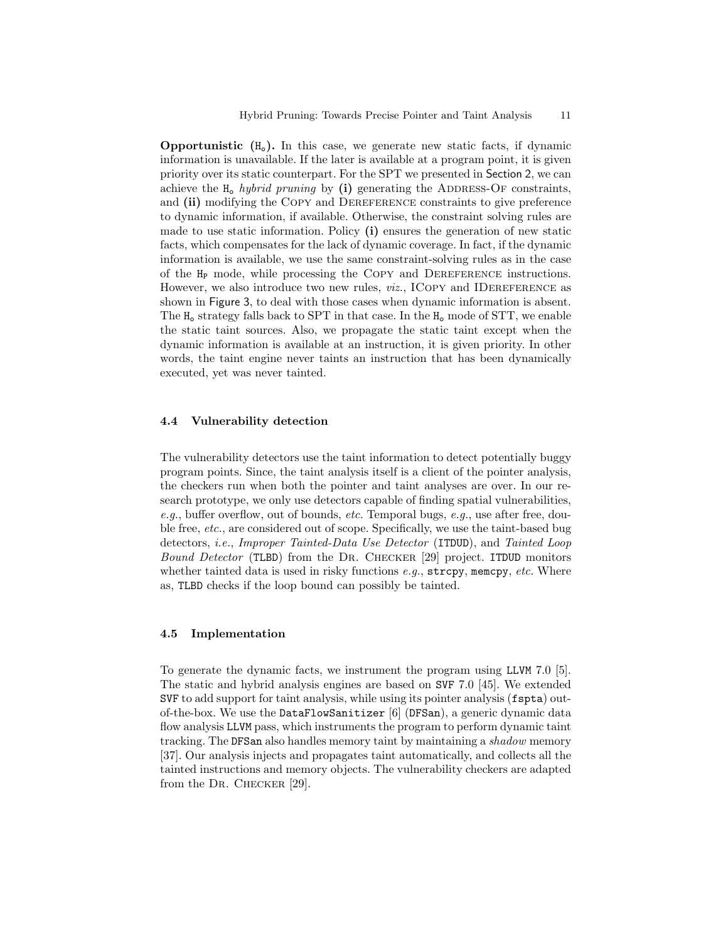**Opportunistic**  $(H_0)$ . In this case, we generate new static facts, if dynamic information is unavailable. If the later is available at a program point, it is given priority over its static counterpart. For the SPT we presented in Section 2, we can achieve the  $H_0$  hybrid pruning by (i) generating the ADDRESS-OF constraints, and (ii) modifying the COPY and DEREFERENCE constraints to give preference to dynamic information, if available. Otherwise, the constraint solving rules are made to use static information. Policy (i) ensures the generation of new static facts, which compensates for the lack of dynamic coverage. In fact, if the dynamic information is available, we use the same constraint-solving rules as in the case of the H<sup>P</sup> mode, while processing the Copy and Dereference instructions. However, we also introduce two new rules, *viz.*, ICOPY and IDEREFERENCE as shown in Figure 3, to deal with those cases when dynamic information is absent. The  $H_0$  strategy falls back to SPT in that case. In the  $H_0$  mode of STT, we enable the static taint sources. Also, we propagate the static taint except when the dynamic information is available at an instruction, it is given priority. In other words, the taint engine never taints an instruction that has been dynamically executed, yet was never tainted.

### 4.4 Vulnerability detection

The vulnerability detectors use the taint information to detect potentially buggy program points. Since, the taint analysis itself is a client of the pointer analysis, the checkers run when both the pointer and taint analyses are over. In our research prototype, we only use detectors capable of finding spatial vulnerabilities, e.g., buffer overflow, out of bounds, etc. Temporal bugs, e.g., use after free, double free, etc., are considered out of scope. Specifically, we use the taint-based bug detectors, i.e., Improper Tainted-Data Use Detector (ITDUD), and Tainted Loop Bound Detector (TLBD) from the Dr. Checker [29] project. ITDUD monitors whether tainted data is used in risky functions  $e.g.,$  strcpy, memcpy, etc. Where as, TLBD checks if the loop bound can possibly be tainted.

#### 4.5 Implementation

To generate the dynamic facts, we instrument the program using LLVM 7.0 [5]. The static and hybrid analysis engines are based on SVF 7.0 [45]. We extended SVF to add support for taint analysis, while using its pointer analysis (fspta) outof-the-box. We use the DataFlowSanitizer [6] (DFSan), a generic dynamic data flow analysis LLVM pass, which instruments the program to perform dynamic taint tracking. The DFSan also handles memory taint by maintaining a shadow memory [37]. Our analysis injects and propagates taint automatically, and collects all the tainted instructions and memory objects. The vulnerability checkers are adapted from the DR. CHECKER [29].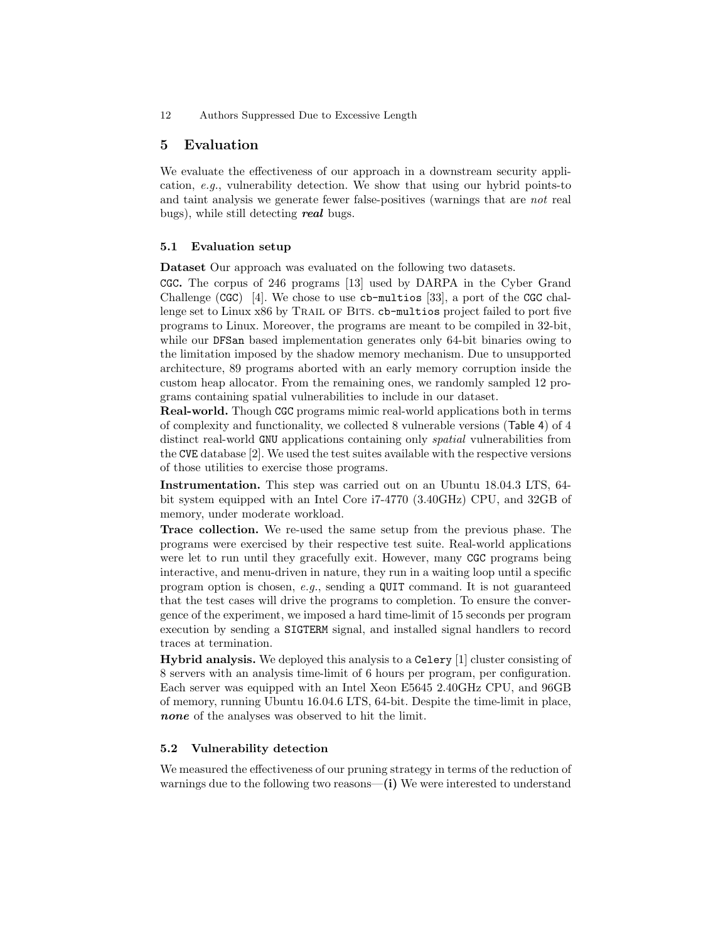### 5 Evaluation

We evaluate the effectiveness of our approach in a downstream security application, e.g., vulnerability detection. We show that using our hybrid points-to and taint analysis we generate fewer false-positives (warnings that are not real bugs), while still detecting **real** bugs.

### 5.1 Evaluation setup

Dataset Our approach was evaluated on the following two datasets.

CGC. The corpus of 246 programs [13] used by DARPA in the Cyber Grand Challenge (CGC) [4]. We chose to use  $cb$ -multios [33], a port of the CGC challenge set to Linux x86 by TRAIL OF BITS. cb-multios project failed to port five programs to Linux. Moreover, the programs are meant to be compiled in 32-bit, while our DFSan based implementation generates only 64-bit binaries owing to the limitation imposed by the shadow memory mechanism. Due to unsupported architecture, 89 programs aborted with an early memory corruption inside the custom heap allocator. From the remaining ones, we randomly sampled 12 programs containing spatial vulnerabilities to include in our dataset.

Real-world. Though CGC programs mimic real-world applications both in terms of complexity and functionality, we collected 8 vulnerable versions (Table 4) of 4 distinct real-world GNU applications containing only spatial vulnerabilities from the CVE database [2]. We used the test suites available with the respective versions of those utilities to exercise those programs.

Instrumentation. This step was carried out on an Ubuntu 18.04.3 LTS, 64 bit system equipped with an Intel Core i7-4770 (3.40GHz) CPU, and 32GB of memory, under moderate workload.

Trace collection. We re-used the same setup from the previous phase. The programs were exercised by their respective test suite. Real-world applications were let to run until they gracefully exit. However, many CGC programs being interactive, and menu-driven in nature, they run in a waiting loop until a specific program option is chosen, e.g., sending a QUIT command. It is not guaranteed that the test cases will drive the programs to completion. To ensure the convergence of the experiment, we imposed a hard time-limit of 15 seconds per program execution by sending a SIGTERM signal, and installed signal handlers to record traces at termination.

Hybrid analysis. We deployed this analysis to a Celery [1] cluster consisting of 8 servers with an analysis time-limit of 6 hours per program, per configuration. Each server was equipped with an Intel Xeon E5645 2.40GHz CPU, and 96GB of memory, running Ubuntu 16.04.6 LTS, 64-bit. Despite the time-limit in place, none of the analyses was observed to hit the limit.

#### 5.2 Vulnerability detection

We measured the effectiveness of our pruning strategy in terms of the reduction of warnings due to the following two reasons—(i) We were interested to understand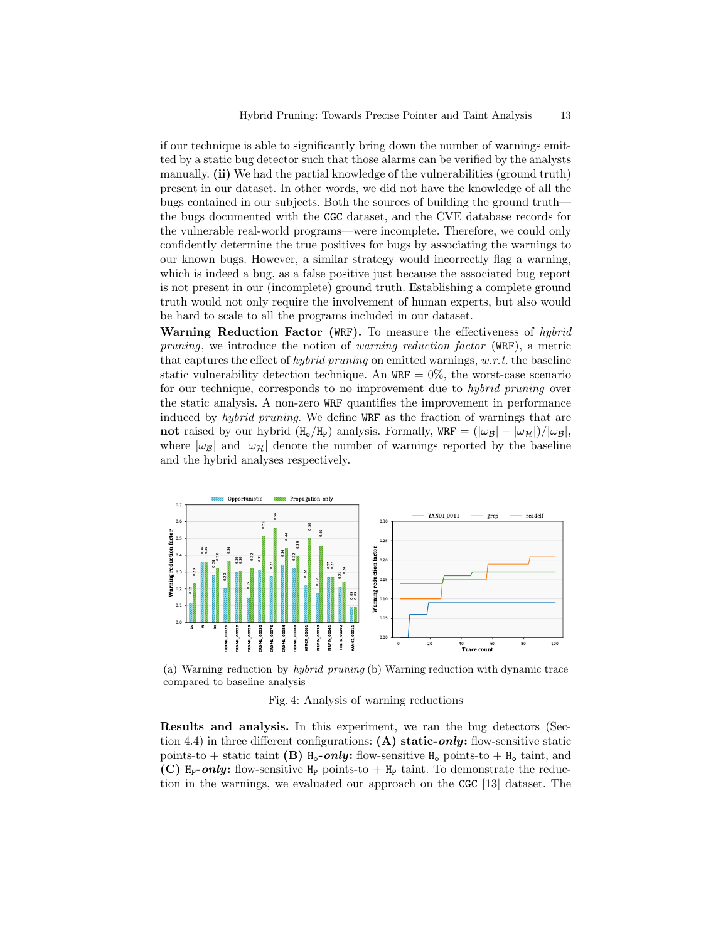if our technique is able to significantly bring down the number of warnings emitted by a static bug detector such that those alarms can be verified by the analysts manually. (ii) We had the partial knowledge of the vulnerabilities (ground truth) present in our dataset. In other words, we did not have the knowledge of all the bugs contained in our subjects. Both the sources of building the ground truth the bugs documented with the CGC dataset, and the CVE database records for the vulnerable real-world programs—were incomplete. Therefore, we could only confidently determine the true positives for bugs by associating the warnings to our known bugs. However, a similar strategy would incorrectly flag a warning, which is indeed a bug, as a false positive just because the associated bug report is not present in our (incomplete) ground truth. Establishing a complete ground truth would not only require the involvement of human experts, but also would be hard to scale to all the programs included in our dataset.

Warning Reduction Factor (WRF). To measure the effectiveness of hybrid pruning, we introduce the notion of warning reduction factor (WRF), a metric that captures the effect of *hybrid pruning* on emitted warnings,  $w.r.t.$  the baseline static vulnerability detection technique. An  $WRF = 0\%$ , the worst-case scenario for our technique, corresponds to no improvement due to hybrid pruning over the static analysis. A non-zero WRF quantifies the improvement in performance induced by hybrid pruning. We define WRF as the fraction of warnings that are not raised by our hybrid  $(H_0/H_P)$  analysis. Formally, WRF =  $(|\omega_B| - |\omega_H|)/|\omega_B|$ , where  $|\omega_B|$  and  $|\omega_H|$  denote the number of warnings reported by the baseline and the hybrid analyses respectively.



(a) Warning reduction by *hybrid pruning* (b) Warning reduction with dynamic trace compared to baseline analysis

#### Fig. 4: Analysis of warning reductions

Results and analysis. In this experiment, we ran the bug detectors (Section 4.4) in three different configurations: (A) static-only: flow-sensitive static points-to + static taint (B)  $H_0$ -only: flow-sensitive  $H_0$  points-to +  $H_0$  taint, and (C) H<sub>p</sub>-only: flow-sensitive H<sub>p</sub> points-to + H<sub>p</sub> taint. To demonstrate the reduction in the warnings, we evaluated our approach on the CGC [13] dataset. The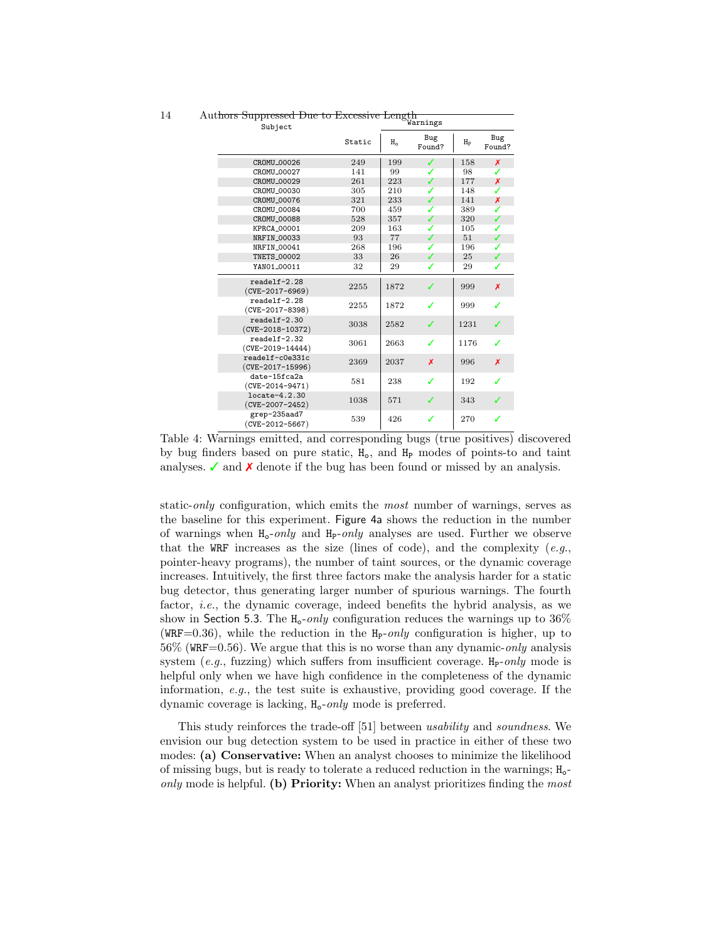| t <del>hors Suppressed Due to Excessive Length</del><br>Subject |        |       | Warnings      |                      |               |
|-----------------------------------------------------------------|--------|-------|---------------|----------------------|---------------|
|                                                                 | Static | $H_0$ | Bug<br>Found? | $_{\rm{H}_{\rm{P}}}$ | Bug<br>Found? |
| CR0MU_00026                                                     | 249    | 199   | ✓             | 158                  | X             |
| CR0MU_00027                                                     | 141    | 99    | ✓             | 98                   | ✓             |
| CR0MU_00029                                                     | 261    | 223   | ✓             | 177                  | X             |
| CR0MU_00030                                                     | 305    | 210   | ✓             | 148                  | ✓             |
| CROMU_00076                                                     | 321    | 233   | ✓             | 141                  | x             |
| CR0MU_00084                                                     | 700    | 459   | ✓             | 389                  | ✓             |
| CR0MU_00088                                                     | 528    | 357   | ✓             | 320                  | ✓             |
| KPRCA_00001                                                     | 209    | 163   | ℐ             | 105                  | ✓             |
| NRFIN_00033                                                     | 93     | 77    | ✓             | 51                   | ✓             |
| NRFIN_00041                                                     | 268    | 196   | ✓             | 196                  | ✓             |
| <b>TNETS_00002</b>                                              | 33     | 26    | ✓             | 25                   | ✓             |
| YAN01_00011                                                     | 32     | 29    | ✓             | 29                   | ✓             |
| $readelf-2.28$<br>$(CVE-2017-6969)$                             | 2255   | 1872  | ℐ             | 999                  | X             |
| $readelf-2.28$<br>$(CVE-2017-8398)$                             | 2255   | 1872  | ℐ             | 999                  | ✓             |
| $readelf-2.30$<br>$(CVE-2018-10372)$                            | 3038   | 2582  | ℐ             | 1231                 | ✔             |
| $readelf-2.32$<br>$(CVE-2019-14444)$                            | 3061   | 2663  | ℐ             | 1176                 | ✓             |
| readelf-c0e331c<br>$(CVE-2017-15996)$                           | 2369   | 2037  | x             | 996                  | X             |
| date-15fca2a<br>$(CVE-2014-9471)$                               | 581    | 238   | ℐ             | 192                  | ✓             |
| locate-4.2.30<br>$(CVE-2007-2452)$                              | 1038   | 571   | ℐ             | 343                  |               |
| grep-235aad7<br>(CVE-2012-5667)                                 | 539    | 426   | ✓             | 270                  | ✓             |

14 Aut<del>hors Suppressed Due to Excessive Length</del>

Table 4: Warnings emitted, and corresponding bugs (true positives) discovered by bug finders based on pure static,  $H_0$ , and  $H_P$  modes of points-to and taint analyses.  $\checkmark$  and  $\checkmark$  denote if the bug has been found or missed by an analysis.

static-*only* configuration, which emits the *most* number of warnings, serves as the baseline for this experiment. Figure 4a shows the reduction in the number of warnings when  $H_0$ -only and  $H_p$ -only analyses are used. Further we observe that the WRF increases as the size (lines of code), and the complexity  $(e.g.,)$ pointer-heavy programs), the number of taint sources, or the dynamic coverage increases. Intuitively, the first three factors make the analysis harder for a static bug detector, thus generating larger number of spurious warnings. The fourth factor, i.e., the dynamic coverage, indeed benefits the hybrid analysis, as we show in Section 5.3. The  $H_0$ -only configuration reduces the warnings up to 36% (WRF=0.36), while the reduction in the  $H_P\text{-}only$  configuration is higher, up to  $56\%$  (WRF=0.56). We argue that this is no worse than any dynamic-only analysis system (e.g., fuzzing) which suffers from insufficient coverage.  $H_P\text{-}only$  mode is helpful only when we have high confidence in the completeness of the dynamic information, e.g., the test suite is exhaustive, providing good coverage. If the dynamic coverage is lacking,  $H_0$ -only mode is preferred.

This study reinforces the trade-off [51] between usability and soundness. We envision our bug detection system to be used in practice in either of these two modes: (a) Conservative: When an analyst chooses to minimize the likelihood of missing bugs, but is ready to tolerate a reduced reduction in the warnings;  $H_o$ only mode is helpful. (b) Priority: When an analyst prioritizes finding the most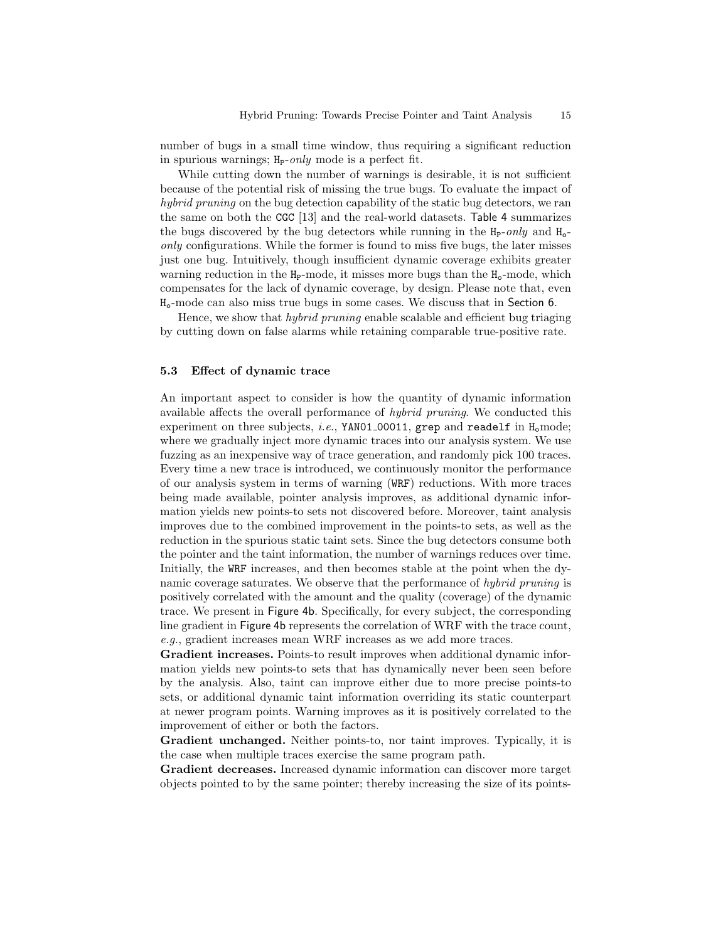number of bugs in a small time window, thus requiring a significant reduction in spurious warnings;  $H_P\text{-}only$  mode is a perfect fit.

While cutting down the number of warnings is desirable, it is not sufficient because of the potential risk of missing the true bugs. To evaluate the impact of hybrid pruning on the bug detection capability of the static bug detectors, we ran the same on both the CGC [13] and the real-world datasets. Table 4 summarizes the bugs discovered by the bug detectors while running in the  $H_P\text{-}only$  and  $H_0\text{-}$ only configurations. While the former is found to miss five bugs, the later misses just one bug. Intuitively, though insufficient dynamic coverage exhibits greater warning reduction in the  $H_P$ -mode, it misses more bugs than the  $H_o$ -mode, which compensates for the lack of dynamic coverage, by design. Please note that, even Ho-mode can also miss true bugs in some cases. We discuss that in Section 6.

Hence, we show that hybrid pruning enable scalable and efficient bug triaging by cutting down on false alarms while retaining comparable true-positive rate.

#### 5.3 Effect of dynamic trace

An important aspect to consider is how the quantity of dynamic information available affects the overall performance of hybrid pruning. We conducted this experiment on three subjects, *i.e.*, YAN01\_00011, grep and readelf in  $H_0$  mode; where we gradually inject more dynamic traces into our analysis system. We use fuzzing as an inexpensive way of trace generation, and randomly pick 100 traces. Every time a new trace is introduced, we continuously monitor the performance of our analysis system in terms of warning (WRF) reductions. With more traces being made available, pointer analysis improves, as additional dynamic information yields new points-to sets not discovered before. Moreover, taint analysis improves due to the combined improvement in the points-to sets, as well as the reduction in the spurious static taint sets. Since the bug detectors consume both the pointer and the taint information, the number of warnings reduces over time. Initially, the WRF increases, and then becomes stable at the point when the dynamic coverage saturates. We observe that the performance of hybrid pruning is positively correlated with the amount and the quality (coverage) of the dynamic trace. We present in Figure 4b. Specifically, for every subject, the corresponding line gradient in Figure 4b represents the correlation of WRF with the trace count, e.g., gradient increases mean WRF increases as we add more traces.

Gradient increases. Points-to result improves when additional dynamic information yields new points-to sets that has dynamically never been seen before by the analysis. Also, taint can improve either due to more precise points-to sets, or additional dynamic taint information overriding its static counterpart at newer program points. Warning improves as it is positively correlated to the improvement of either or both the factors.

Gradient unchanged. Neither points-to, nor taint improves. Typically, it is the case when multiple traces exercise the same program path.

Gradient decreases. Increased dynamic information can discover more target objects pointed to by the same pointer; thereby increasing the size of its points-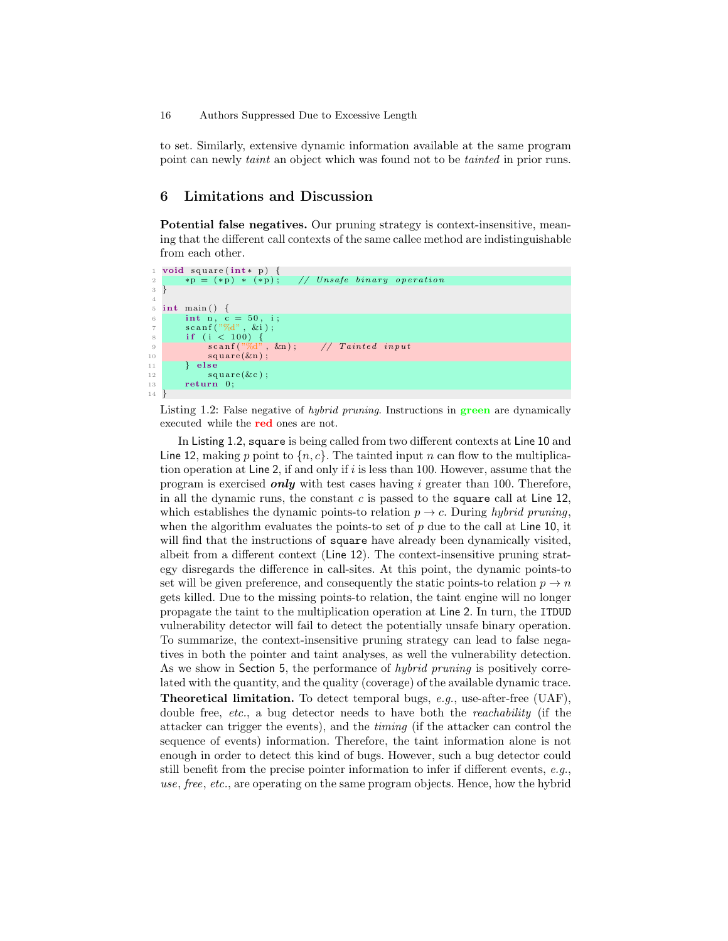to set. Similarly, extensive dynamic information available at the same program point can newly taint an object which was found not to be tainted in prior runs.

# 6 Limitations and Discussion

Potential false negatives. Our pruning strategy is context-insensitive, meaning that the different call contexts of the same callee method are indistinguishable from each other.



Listing 1.2: False negative of hybrid pruning. Instructions in green are dynamically executed while the red ones are not.

In Listing 1.2, square is being called from two different contexts at Line 10 and Line 12, making p point to  $\{n, c\}$ . The tainted input n can flow to the multiplication operation at Line 2, if and only if  $i$  is less than 100. However, assume that the program is exercised only with test cases having  $i$  greater than 100. Therefore, in all the dynamic runs, the constant c is passed to the square call at Line 12, which establishes the dynamic points-to relation  $p \to c$ . During hybrid pruning, when the algorithm evaluates the points-to set of  $p$  due to the call at Line 10, it will find that the instructions of square have already been dynamically visited, albeit from a different context (Line 12). The context-insensitive pruning strategy disregards the difference in call-sites. At this point, the dynamic points-to set will be given preference, and consequently the static points-to relation  $p \to n$ gets killed. Due to the missing points-to relation, the taint engine will no longer propagate the taint to the multiplication operation at Line 2. In turn, the ITDUD vulnerability detector will fail to detect the potentially unsafe binary operation. To summarize, the context-insensitive pruning strategy can lead to false negatives in both the pointer and taint analyses, as well the vulnerability detection. As we show in Section 5, the performance of *hybrid pruning* is positively correlated with the quantity, and the quality (coverage) of the available dynamic trace. Theoretical limitation. To detect temporal bugs, e.g., use-after-free (UAF), double free, *etc.*, a bug detector needs to have both the *reachability* (if the attacker can trigger the events), and the timing (if the attacker can control the sequence of events) information. Therefore, the taint information alone is not enough in order to detect this kind of bugs. However, such a bug detector could still benefit from the precise pointer information to infer if different events, e.g., use, free, etc., are operating on the same program objects. Hence, how the hybrid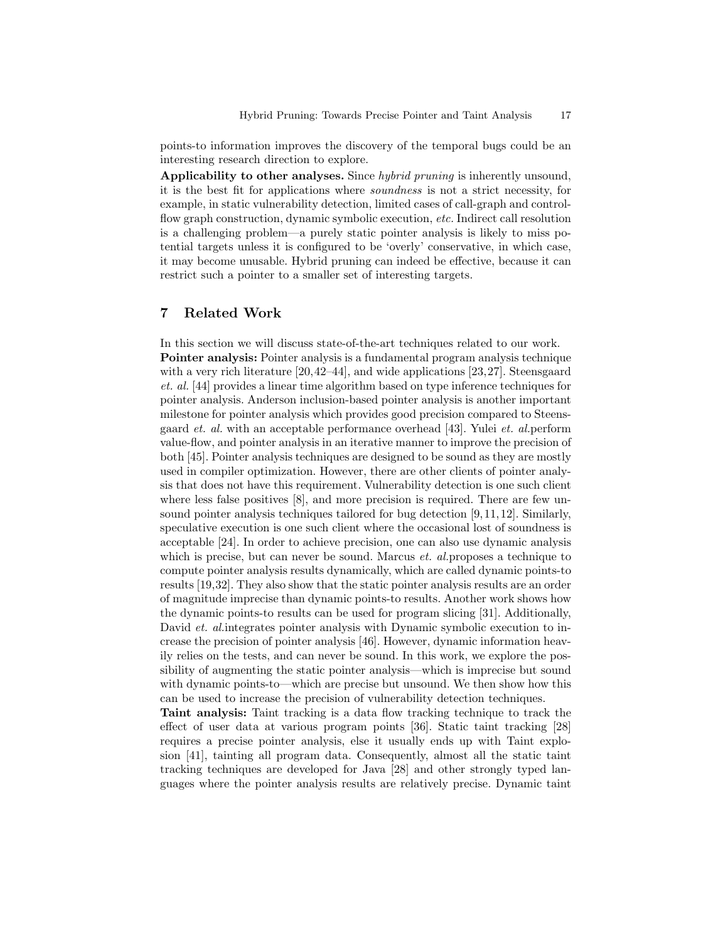points-to information improves the discovery of the temporal bugs could be an interesting research direction to explore.

Applicability to other analyses. Since hybrid pruning is inherently unsound, it is the best fit for applications where soundness is not a strict necessity, for example, in static vulnerability detection, limited cases of call-graph and controlflow graph construction, dynamic symbolic execution, etc. Indirect call resolution is a challenging problem—a purely static pointer analysis is likely to miss potential targets unless it is configured to be 'overly' conservative, in which case, it may become unusable. Hybrid pruning can indeed be effective, because it can restrict such a pointer to a smaller set of interesting targets.

# 7 Related Work

In this section we will discuss state-of-the-art techniques related to our work. Pointer analysis: Pointer analysis is a fundamental program analysis technique with a very rich literature [20,42–44], and wide applications [23,27]. Steensgaard et. al. [44] provides a linear time algorithm based on type inference techniques for pointer analysis. Anderson inclusion-based pointer analysis is another important milestone for pointer analysis which provides good precision compared to Steensgaard et. al. with an acceptable performance overhead [43]. Yulei et. al.perform value-flow, and pointer analysis in an iterative manner to improve the precision of both [45]. Pointer analysis techniques are designed to be sound as they are mostly used in compiler optimization. However, there are other clients of pointer analysis that does not have this requirement. Vulnerability detection is one such client where less false positives [8], and more precision is required. There are few unsound pointer analysis techniques tailored for bug detection [9, 11, 12]. Similarly, speculative execution is one such client where the occasional lost of soundness is acceptable [24]. In order to achieve precision, one can also use dynamic analysis which is precise, but can never be sound. Marcus *et. al.*proposes a technique to compute pointer analysis results dynamically, which are called dynamic points-to results [19,32]. They also show that the static pointer analysis results are an order of magnitude imprecise than dynamic points-to results. Another work shows how the dynamic points-to results can be used for program slicing [31]. Additionally, David *et. al.* integrates pointer analysis with Dynamic symbolic execution to increase the precision of pointer analysis [46]. However, dynamic information heavily relies on the tests, and can never be sound. In this work, we explore the possibility of augmenting the static pointer analysis—which is imprecise but sound with dynamic points-to—which are precise but unsound. We then show how this can be used to increase the precision of vulnerability detection techniques.

Taint analysis: Taint tracking is a data flow tracking technique to track the effect of user data at various program points [36]. Static taint tracking [28] requires a precise pointer analysis, else it usually ends up with Taint explosion [41], tainting all program data. Consequently, almost all the static taint tracking techniques are developed for Java [28] and other strongly typed languages where the pointer analysis results are relatively precise. Dynamic taint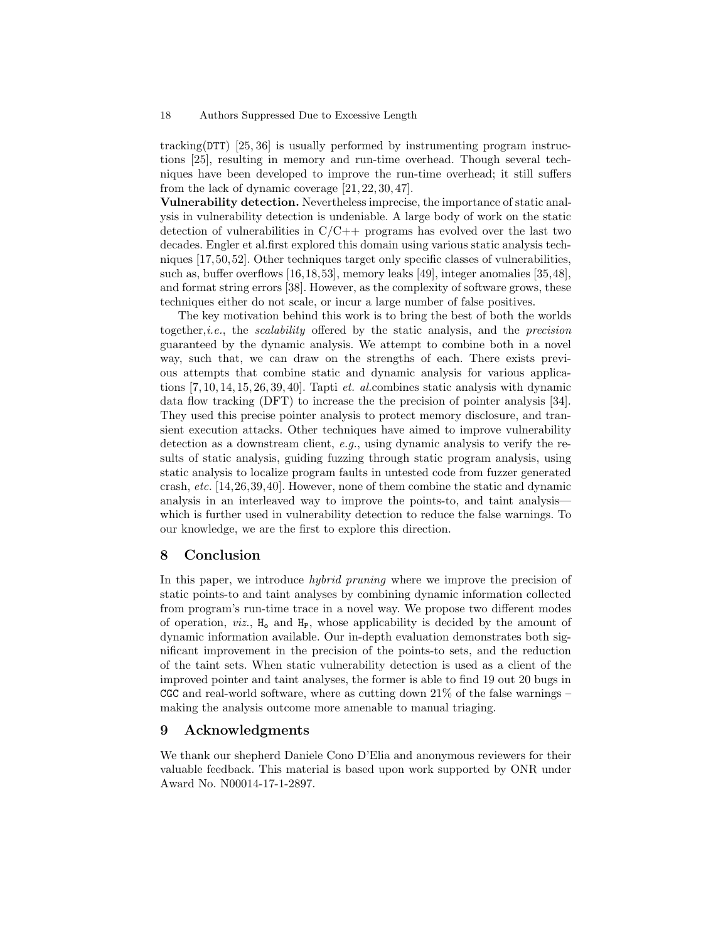tracking(DTT) [25, 36] is usually performed by instrumenting program instructions [25], resulting in memory and run-time overhead. Though several techniques have been developed to improve the run-time overhead; it still suffers from the lack of dynamic coverage [21, 22, 30, 47].

Vulnerability detection. Nevertheless imprecise, the importance of static analysis in vulnerability detection is undeniable. A large body of work on the static detection of vulnerabilities in  $C/C++$  programs has evolved over the last two decades. Engler et al.first explored this domain using various static analysis techniques [17,50,52]. Other techniques target only specific classes of vulnerabilities, such as, buffer overflows [16,18,53], memory leaks [49], integer anomalies [35,48], and format string errors [38]. However, as the complexity of software grows, these techniques either do not scale, or incur a large number of false positives.

The key motivation behind this work is to bring the best of both the worlds together, *i.e.*, the *scalability* offered by the static analysis, and the *precision* guaranteed by the dynamic analysis. We attempt to combine both in a novel way, such that, we can draw on the strengths of each. There exists previous attempts that combine static and dynamic analysis for various applications [7, 10, 14, 15, 26, 39, 40]. Tapti et. al.combines static analysis with dynamic data flow tracking (DFT) to increase the the precision of pointer analysis [34]. They used this precise pointer analysis to protect memory disclosure, and transient execution attacks. Other techniques have aimed to improve vulnerability detection as a downstream client, e.g., using dynamic analysis to verify the results of static analysis, guiding fuzzing through static program analysis, using static analysis to localize program faults in untested code from fuzzer generated crash, etc. [14,26,39,40]. However, none of them combine the static and dynamic analysis in an interleaved way to improve the points-to, and taint analysis which is further used in vulnerability detection to reduce the false warnings. To our knowledge, we are the first to explore this direction.

# 8 Conclusion

In this paper, we introduce *hybrid pruning* where we improve the precision of static points-to and taint analyses by combining dynamic information collected from program's run-time trace in a novel way. We propose two different modes of operation,  $viz.$ ,  $H_0$  and  $H_P$ , whose applicability is decided by the amount of dynamic information available. Our in-depth evaluation demonstrates both significant improvement in the precision of the points-to sets, and the reduction of the taint sets. When static vulnerability detection is used as a client of the improved pointer and taint analyses, the former is able to find 19 out 20 bugs in CGC and real-world software, where as cutting down  $21\%$  of the false warnings – making the analysis outcome more amenable to manual triaging.

# 9 Acknowledgments

We thank our shepherd Daniele Cono D'Elia and anonymous reviewers for their valuable feedback. This material is based upon work supported by ONR under Award No. N00014-17-1-2897.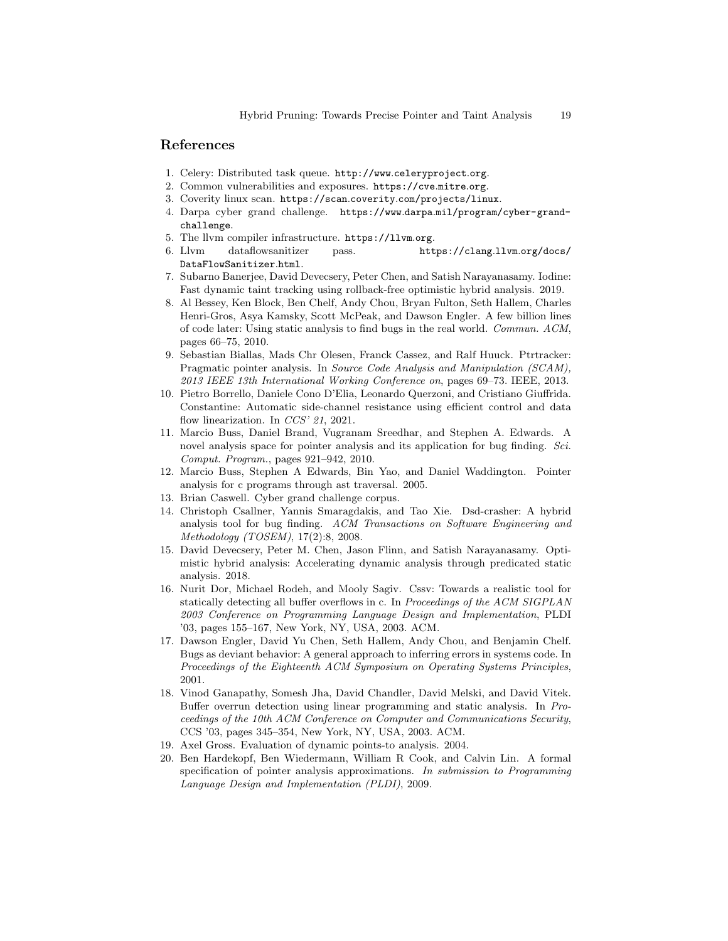### References

- 1. Celery: Distributed task queue. http://www.celeryproject.org.
- 2. Common vulnerabilities and exposures. https://cve.mitre.org.
- 3. Coverity linux scan. https://scan.coverity.com/projects/linux.
- 4. Darpa cyber grand challenge. https://www.darpa.mil/program/cyber-grandchallenge.
- 5. The llvm compiler infrastructure. https://llvm.org.
- 6. Llvm dataflowsanitizer pass. https://clang.llvm.org/docs/ DataFlowSanitizer.html.
- 7. Subarno Banerjee, David Devecsery, Peter Chen, and Satish Narayanasamy. Iodine: Fast dynamic taint tracking using rollback-free optimistic hybrid analysis. 2019.
- 8. Al Bessey, Ken Block, Ben Chelf, Andy Chou, Bryan Fulton, Seth Hallem, Charles Henri-Gros, Asya Kamsky, Scott McPeak, and Dawson Engler. A few billion lines of code later: Using static analysis to find bugs in the real world. Commun. ACM, pages 66–75, 2010.
- 9. Sebastian Biallas, Mads Chr Olesen, Franck Cassez, and Ralf Huuck. Ptrtracker: Pragmatic pointer analysis. In Source Code Analysis and Manipulation (SCAM), 2013 IEEE 13th International Working Conference on, pages 69–73. IEEE, 2013.
- 10. Pietro Borrello, Daniele Cono D'Elia, Leonardo Querzoni, and Cristiano Giuffrida. Constantine: Automatic side-channel resistance using efficient control and data flow linearization. In CCS' 21, 2021.
- 11. Marcio Buss, Daniel Brand, Vugranam Sreedhar, and Stephen A. Edwards. A novel analysis space for pointer analysis and its application for bug finding. Sci. Comput. Program., pages 921–942, 2010.
- 12. Marcio Buss, Stephen A Edwards, Bin Yao, and Daniel Waddington. Pointer analysis for c programs through ast traversal. 2005.
- 13. Brian Caswell. Cyber grand challenge corpus.
- 14. Christoph Csallner, Yannis Smaragdakis, and Tao Xie. Dsd-crasher: A hybrid analysis tool for bug finding. ACM Transactions on Software Engineering and Methodology (TOSEM), 17(2):8, 2008.
- 15. David Devecsery, Peter M. Chen, Jason Flinn, and Satish Narayanasamy. Optimistic hybrid analysis: Accelerating dynamic analysis through predicated static analysis. 2018.
- 16. Nurit Dor, Michael Rodeh, and Mooly Sagiv. Cssv: Towards a realistic tool for statically detecting all buffer overflows in c. In Proceedings of the ACM SIGPLAN 2003 Conference on Programming Language Design and Implementation, PLDI '03, pages 155–167, New York, NY, USA, 2003. ACM.
- 17. Dawson Engler, David Yu Chen, Seth Hallem, Andy Chou, and Benjamin Chelf. Bugs as deviant behavior: A general approach to inferring errors in systems code. In Proceedings of the Eighteenth ACM Symposium on Operating Systems Principles, 2001.
- 18. Vinod Ganapathy, Somesh Jha, David Chandler, David Melski, and David Vitek. Buffer overrun detection using linear programming and static analysis. In Proceedings of the 10th ACM Conference on Computer and Communications Security, CCS '03, pages 345–354, New York, NY, USA, 2003. ACM.
- 19. Axel Gross. Evaluation of dynamic points-to analysis. 2004.
- 20. Ben Hardekopf, Ben Wiedermann, William R Cook, and Calvin Lin. A formal specification of pointer analysis approximations. In submission to Programming Language Design and Implementation (PLDI), 2009.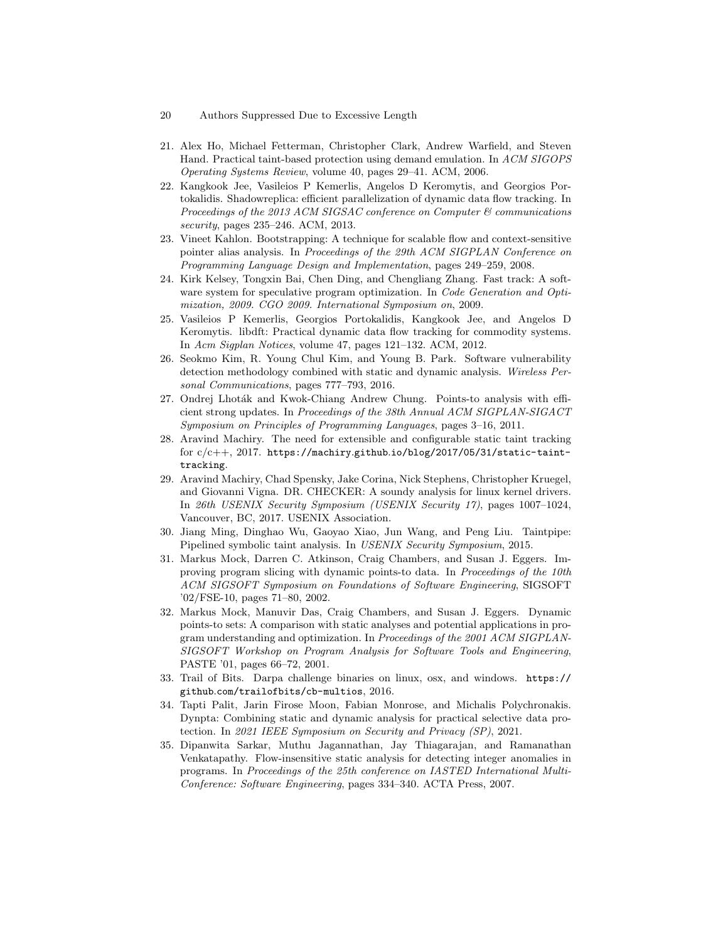- 20 Authors Suppressed Due to Excessive Length
- 21. Alex Ho, Michael Fetterman, Christopher Clark, Andrew Warfield, and Steven Hand. Practical taint-based protection using demand emulation. In ACM SIGOPS Operating Systems Review, volume 40, pages 29–41. ACM, 2006.
- 22. Kangkook Jee, Vasileios P Kemerlis, Angelos D Keromytis, and Georgios Portokalidis. Shadowreplica: efficient parallelization of dynamic data flow tracking. In Proceedings of the 2013 ACM SIGSAC conference on Computer  $\mathcal{C}$  communications security, pages 235–246. ACM, 2013.
- 23. Vineet Kahlon. Bootstrapping: A technique for scalable flow and context-sensitive pointer alias analysis. In Proceedings of the 29th ACM SIGPLAN Conference on Programming Language Design and Implementation, pages 249–259, 2008.
- 24. Kirk Kelsey, Tongxin Bai, Chen Ding, and Chengliang Zhang. Fast track: A software system for speculative program optimization. In Code Generation and Optimization, 2009. CGO 2009. International Symposium on, 2009.
- 25. Vasileios P Kemerlis, Georgios Portokalidis, Kangkook Jee, and Angelos D Keromytis. libdft: Practical dynamic data flow tracking for commodity systems. In Acm Sigplan Notices, volume 47, pages 121–132. ACM, 2012.
- 26. Seokmo Kim, R. Young Chul Kim, and Young B. Park. Software vulnerability detection methodology combined with static and dynamic analysis. Wireless Personal Communications, pages 777–793, 2016.
- 27. Ondrej Lhoták and Kwok-Chiang Andrew Chung. Points-to analysis with efficient strong updates. In Proceedings of the 38th Annual ACM SIGPLAN-SIGACT Symposium on Principles of Programming Languages, pages 3–16, 2011.
- 28. Aravind Machiry. The need for extensible and configurable static taint tracking for c/c++, 2017. https://machiry.github.io/blog/2017/05/31/static-tainttracking.
- 29. Aravind Machiry, Chad Spensky, Jake Corina, Nick Stephens, Christopher Kruegel, and Giovanni Vigna. DR. CHECKER: A soundy analysis for linux kernel drivers. In 26th USENIX Security Symposium (USENIX Security 17), pages 1007–1024, Vancouver, BC, 2017. USENIX Association.
- 30. Jiang Ming, Dinghao Wu, Gaoyao Xiao, Jun Wang, and Peng Liu. Taintpipe: Pipelined symbolic taint analysis. In USENIX Security Symposium, 2015.
- 31. Markus Mock, Darren C. Atkinson, Craig Chambers, and Susan J. Eggers. Improving program slicing with dynamic points-to data. In Proceedings of the 10th ACM SIGSOFT Symposium on Foundations of Software Engineering, SIGSOFT '02/FSE-10, pages 71–80, 2002.
- 32. Markus Mock, Manuvir Das, Craig Chambers, and Susan J. Eggers. Dynamic points-to sets: A comparison with static analyses and potential applications in program understanding and optimization. In Proceedings of the 2001 ACM SIGPLAN-SIGSOFT Workshop on Program Analysis for Software Tools and Engineering, PASTE '01, pages 66–72, 2001.
- 33. Trail of Bits. Darpa challenge binaries on linux, osx, and windows. https:// github.com/trailofbits/cb-multios, 2016.
- 34. Tapti Palit, Jarin Firose Moon, Fabian Monrose, and Michalis Polychronakis. Dynpta: Combining static and dynamic analysis for practical selective data protection. In 2021 IEEE Symposium on Security and Privacy (SP), 2021.
- 35. Dipanwita Sarkar, Muthu Jagannathan, Jay Thiagarajan, and Ramanathan Venkatapathy. Flow-insensitive static analysis for detecting integer anomalies in programs. In Proceedings of the 25th conference on IASTED International Multi-Conference: Software Engineering, pages 334–340. ACTA Press, 2007.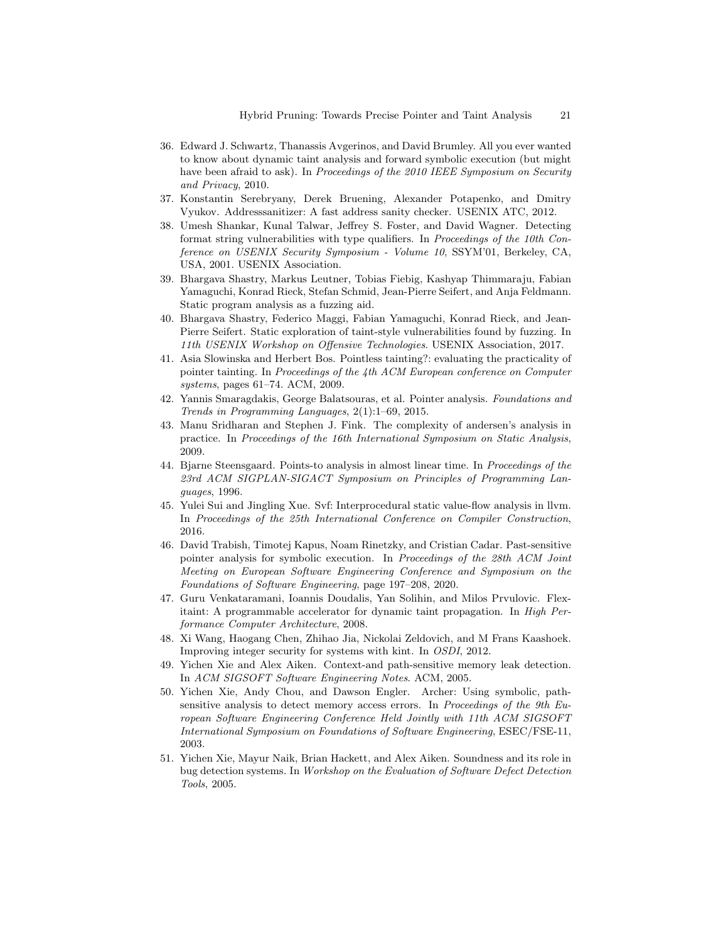- 36. Edward J. Schwartz, Thanassis Avgerinos, and David Brumley. All you ever wanted to know about dynamic taint analysis and forward symbolic execution (but might have been afraid to ask). In Proceedings of the 2010 IEEE Symposium on Security and Privacy, 2010.
- 37. Konstantin Serebryany, Derek Bruening, Alexander Potapenko, and Dmitry Vyukov. Addresssanitizer: A fast address sanity checker. USENIX ATC, 2012.
- 38. Umesh Shankar, Kunal Talwar, Jeffrey S. Foster, and David Wagner. Detecting format string vulnerabilities with type qualifiers. In Proceedings of the 10th Conference on USENIX Security Symposium - Volume 10, SSYM'01, Berkeley, CA, USA, 2001. USENIX Association.
- 39. Bhargava Shastry, Markus Leutner, Tobias Fiebig, Kashyap Thimmaraju, Fabian Yamaguchi, Konrad Rieck, Stefan Schmid, Jean-Pierre Seifert, and Anja Feldmann. Static program analysis as a fuzzing aid.
- 40. Bhargava Shastry, Federico Maggi, Fabian Yamaguchi, Konrad Rieck, and Jean-Pierre Seifert. Static exploration of taint-style vulnerabilities found by fuzzing. In 11th USENIX Workshop on Offensive Technologies. USENIX Association, 2017.
- 41. Asia Slowinska and Herbert Bos. Pointless tainting?: evaluating the practicality of pointer tainting. In Proceedings of the 4th ACM European conference on Computer systems, pages 61–74. ACM, 2009.
- 42. Yannis Smaragdakis, George Balatsouras, et al. Pointer analysis. Foundations and Trends in Programming Languages, 2(1):1–69, 2015.
- 43. Manu Sridharan and Stephen J. Fink. The complexity of andersen's analysis in practice. In Proceedings of the 16th International Symposium on Static Analysis, 2009.
- 44. Bjarne Steensgaard. Points-to analysis in almost linear time. In Proceedings of the 23rd ACM SIGPLAN-SIGACT Symposium on Principles of Programming Languages, 1996.
- 45. Yulei Sui and Jingling Xue. Svf: Interprocedural static value-flow analysis in llvm. In Proceedings of the 25th International Conference on Compiler Construction, 2016.
- 46. David Trabish, Timotej Kapus, Noam Rinetzky, and Cristian Cadar. Past-sensitive pointer analysis for symbolic execution. In Proceedings of the 28th ACM Joint Meeting on European Software Engineering Conference and Symposium on the Foundations of Software Engineering, page 197–208, 2020.
- 47. Guru Venkataramani, Ioannis Doudalis, Yan Solihin, and Milos Prvulovic. Flexitaint: A programmable accelerator for dynamic taint propagation. In High Performance Computer Architecture, 2008.
- 48. Xi Wang, Haogang Chen, Zhihao Jia, Nickolai Zeldovich, and M Frans Kaashoek. Improving integer security for systems with kint. In OSDI, 2012.
- 49. Yichen Xie and Alex Aiken. Context-and path-sensitive memory leak detection. In ACM SIGSOFT Software Engineering Notes. ACM, 2005.
- 50. Yichen Xie, Andy Chou, and Dawson Engler. Archer: Using symbolic, pathsensitive analysis to detect memory access errors. In Proceedings of the 9th European Software Engineering Conference Held Jointly with 11th ACM SIGSOFT International Symposium on Foundations of Software Engineering, ESEC/FSE-11, 2003.
- 51. Yichen Xie, Mayur Naik, Brian Hackett, and Alex Aiken. Soundness and its role in bug detection systems. In Workshop on the Evaluation of Software Defect Detection Tools, 2005.